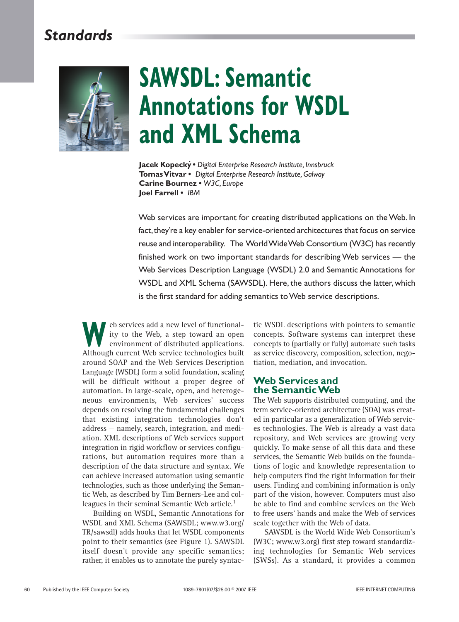

# **SAWSDL: Semantic Annotations for WSDL and XML Schema**

**Jacek Kopecky´ •** *Digital Enterprise Research Institute, Innsbruck* **Tomas Vitvar •** *Digital Enterprise Research Institute, Galway* **Carine Bournez •** *W3C, Europe* **Joel Farrell •** *IBM*

Web services are important for creating distributed applications on the Web. In fact, they're a key enabler for service-oriented architectures that focus on service reuse and interoperability. The World Wide Web Consortium (W3C) has recently finished work on two important standards for describing Web services — the Web Services Description Language (WSDL) 2.0 and Semantic Annotations for WSDL and XML Schema (SAWSDL). Here, the authors discuss the latter, which is the first standard for adding semantics to Web service descriptions.

Web services add a new level of functional-<br>ity to the Web, a step toward an open<br>environment of distributed applications. ity to the Web, a step toward an open environment of distributed applications. Although current Web service technologies built around SOAP and the Web Services Description Language (WSDL) form a solid foundation, scaling will be difficult without a proper degree of automation. In large-scale, open, and heterogeneous environments, Web services' success depends on resolving the fundamental challenges that existing integration technologies don't address — namely, search, integration, and mediation. XML descriptions of Web services support integration in rigid workflow or services configurations, but automation requires more than a description of the data structure and syntax. We can achieve increased automation using semantic technologies, such as those underlying the Semantic Web, as described by Tim Berners-Lee and colleagues in their seminal Semantic Web article.<sup>1</sup>

Building on WSDL, Semantic Annotations for WSDL and XML Schema (SAWSDL; www.w3.org/ TR/sawsdl) adds hooks that let WSDL components point to their semantics (see Figure 1). SAWSDL itself doesn't provide any specific semantics; rather, it enables us to annotate the purely syntactic WSDL descriptions with pointers to semantic concepts. Software systems can interpret these concepts to (partially or fully) automate such tasks as service discovery, composition, selection, negotiation, mediation, and invocation.

#### **Web Services and the Semantic Web**

The Web supports distributed computing, and the term service-oriented architecture (SOA) was created in particular as a generalization of Web services technologies. The Web is already a vast data repository, and Web services are growing very quickly. To make sense of all this data and these services, the Semantic Web builds on the foundations of logic and knowledge representation to help computers find the right information for their users. Finding and combining information is only part of the vision, however. Computers must also be able to find and combine services on the Web to free users' hands and make the Web of services scale together with the Web of data.

SAWSDL is the World Wide Web Consortium's (W3C; www.w3.org) first step toward standardizing technologies for Semantic Web services (SWSs). As a standard, it provides a common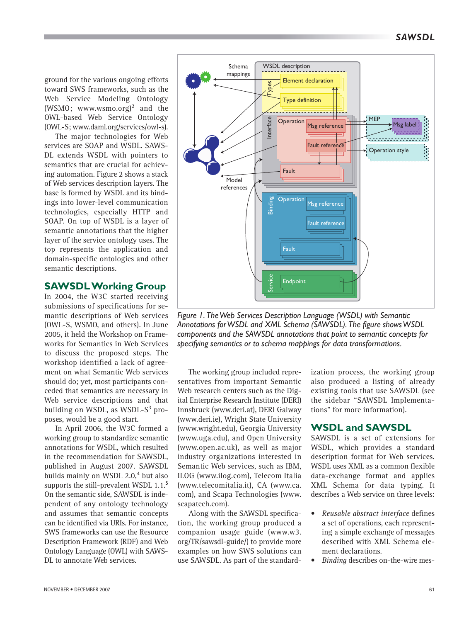ground for the various ongoing efforts toward SWS frameworks, such as the Web Service Modeling Ontology (WSMO; www.wsmo.org)<sup>2</sup> and the OWL-based Web Service Ontology (OWL-S; www.daml.org/services/owl-s).

The major technologies for Web services are SOAP and WSDL. SAWS-DL extends WSDL with pointers to semantics that are crucial for achieving automation. Figure 2 shows a stack of Web services description layers. The base is formed by WSDL and its bindings into lower-level communication technologies, especially HTTP and SOAP. On top of WSDL is a layer of semantic annotations that the higher layer of the service ontology uses. The top represents the application and domain-specific ontologies and other semantic descriptions.

## **SAWSDL Working Group**

In 2004, the W3C started receiving submissions of specifications for semantic descriptions of Web services (OWL-S, WSMO, and others). In June 2005, it held the Workshop on Frameworks for Semantics in Web Services to discuss the proposed steps. The workshop identified a lack of agreement on what Semantic Web services should do; yet, most participants conceded that semantics are necessary in Web service descriptions and that building on WSDL, as WSDL-S<sup>3</sup> proposes, would be a good start.

In April 2006, the W3C formed a working group to standardize semantic annotations for WSDL, which resulted in the recommendation for SAWSDL, published in August 2007. SAWSDL builds mainly on WSDL 2.0,<sup>4</sup> but also supports the still-prevalent WSDL 1.1.<sup>5</sup> On the semantic side, SAWSDL is independent of any ontology technology and assumes that semantic concepts can be identified via URIs. For instance, SWS frameworks can use the Resource Description Framework (RDF) and Web Ontology Language (OWL) with SAWS-DL to annotate Web services.



*Figure 1. The Web Services Description Language (WSDL) with Semantic Annotations for WSDL and XML Schema (SAWSDL). The figure shows WSDL components and the SAWSDL annotations that point to semantic concepts for specifying semantics or to schema mappings for data transformations.*

The working group included representatives from important Semantic Web research centers such as the Digital Enterprise Research Institute (DERI) Innsbruck (www.deri.at), DERI Galway (www.deri.ie), Wright State University (www.wright.edu), Georgia University (www.uga.edu), and Open University (www.open.ac.uk), as well as major industry organizations interested in Semantic Web services, such as IBM, ILOG (www.ilog.com), Telecom Italia (www.telecomitalia.it), CA (www.ca. com), and Scapa Technologies (www. scapatech.com).

Along with the SAWSDL specification, the working group produced a companion usage guide (www.w3. org/TR/sawsdl-guide/) to provide more examples on how SWS solutions can use SAWSDL. As part of the standardization process, the working group also produced a listing of already existing tools that use SAWSDL (see the sidebar "SAWSDL Implementations" for more information).

## **WSDL and SAWSDL**

SAWSDL is a set of extensions for WSDL, which provides a standard description format for Web services. WSDL uses XML as a common flexible data-exchange format and applies XML Schema for data typing. It describes a Web service on three levels:

- *Reusable abstract interface* defines a set of operations, each representing a simple exchange of messages described with XML Schema element declarations.
- *Binding* describes on-the-wire mes-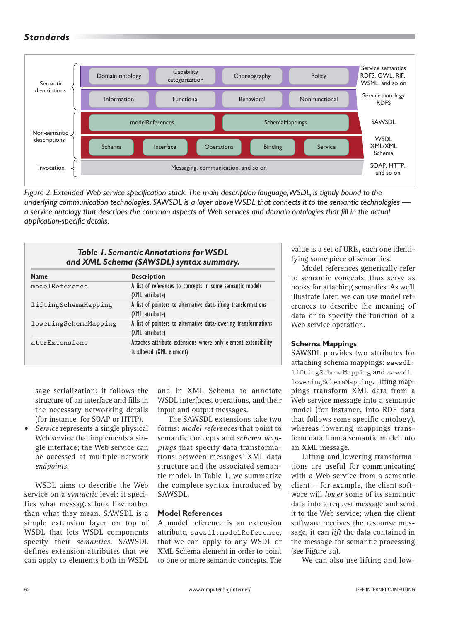

*Figure 2. Extended Web service specification stack. The main description language,WSDL, is tightly bound to the underlying communication technologies. SAWSDL is a layer above WSDL that connects it to the semantic technologies a service ontology that describes the common aspects of Web services and domain ontologies that fill in the actual application-specific details.*

| <b>Table 1. Semantic Annotations for WSDL</b><br>and XML Schema (SAWSDL) syntax summary. |                                                                                            |  |
|------------------------------------------------------------------------------------------|--------------------------------------------------------------------------------------------|--|
| <b>Name</b>                                                                              | <b>Description</b>                                                                         |  |
| modelReference                                                                           | A list of references to concepts in some semantic models<br>(XML attribute)                |  |
| liftingSchemaMapping                                                                     | A list of pointers to alternative data-lifting transformations<br>(XML attribute)          |  |
| loweringSchemaMapping                                                                    | A list of pointers to alternative data-lowering transformations<br>(XML attribute)         |  |
| attrExtensions                                                                           | Attaches attribute extensions where only element extensibility<br>is allowed (XML element) |  |

sage serialization; it follows the structure of an interface and fills in the necessary networking details (for instance, for SOAP or HTTP).

• *Service* represents a single physical Web service that implements a single interface; the Web service can be accessed at multiple network *endpoints*.

WSDL aims to describe the Web service on a *syntactic* level: it specifies what messages look like rather than what they mean. SAWSDL is a simple extension layer on top of WSDL that lets WSDL components specify their *semantics*. SAWSDL defines extension attributes that we can apply to elements both in WSDL

and in XML Schema to annotate WSDL interfaces, operations, and their input and output messages.

The SAWSDL extensions take two forms: *model references* that point to semantic concepts and *schema mappings* that specify data transformations between messages' XML data structure and the associated semantic model. In Table 1, we summarize the complete syntax introduced by SAWSDL.

#### **Model References**

A model reference is an extension attribute, **sawsdl:modelReference**, that we can apply to any WSDL or XML Schema element in order to point to one or more semantic concepts. The value is a set of URIs, each one identifying some piece of semantics.

Model references generically refer to semantic concepts, thus serve as hooks for attaching semantics. As we'll illustrate later, we can use model references to describe the meaning of data or to specify the function of a Web service operation.

#### **Schema Mappings**

SAWSDL provides two attributes for attaching schema mappings: **sawsdl: liftingSchemaMapping** and **sawsdl: loweringSchemaMapping**. Lifting mappings transform XML data from a Web service message into a semantic model (for instance, into RDF data that follows some specific ontology), whereas lowering mappings transform data from a semantic model into an XML message.

Lifting and lowering transformations are useful for communicating with a Web service from a semantic client — for example, the client software will *lower* some of its semantic data into a request message and send it to the Web service; when the client software receives the response message, it can *lift* the data contained in the message for semantic processing (see Figure 3a).

We can also use lifting and low-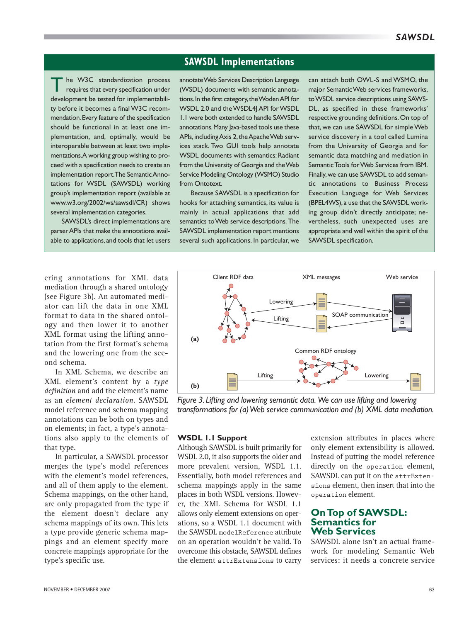## **SAWSDL Implementations**

The W3C standardization process requires that every specification under development be tested for implementability before it becomes a final W3C recommendation.Every feature of the specification should be functional in at least one implementation, and, optimally, would be interoperable between at least two implementations.A working group wishing to proceed with a specification needs to create an implementation report.The Semantic Annotations for WSDL (SAWSDL) working group's implementation report (available at www.w3.org/2002/ws/sawsdl/CR) shows several implementation categories.

SAWSDL's direct implementations are parser APIs that make the annotations available to applications, and tools that let users annotate Web Services Description Language (WSDL) documents with semantic annotations. In the first category, the Woden API for WSDL 2.0 and the WSDL4J API for WSDL 1.1 were both extended to handle SAWSDL annotations.Many Java-based tools use these APIs, including Axis 2, the Apache Web services stack. Two GUI tools help annotate WSDL documents with semantics: Radiant from the University of Georgia and the Web Service Modeling Ontology (WSMO) Studio from Ontotext.

Because SAWSDL is a specification for hooks for attaching semantics, its value is mainly in actual applications that add semantics to Web service descriptions. The SAWSDL implementation report mentions several such applications. In particular, we

can attach both OWL-S and WSMO, the major Semantic Web services frameworks, to WSDL service descriptions using SAWS-DL, as specified in these frameworks' respective grounding definitions.On top of that, we can use SAWSDL for simple Web service discovery in a tool called Lumina from the University of Georgia and for semantic data matching and mediation in Semantic Tools for Web Services from IBM. Finally,we can use SAWSDL to add semantic annotations to Business Process Execution Language for Web Services (BPEL4WS),a use that the SAWSDL working group didn't directly anticipate; nevertheless, such unexpected uses are appropriate and well within the spirit of the SAWSDL specification.

ering annotations for XML data mediation through a shared ontology (see Figure 3b). An automated mediator can lift the data in one XML format to data in the shared ontology and then lower it to another XML format using the lifting annotation from the first format's schema and the lowering one from the second schema.

In XML Schema, we describe an XML element's content by a *type definition* and add the element's name as an *element declaration*. SAWSDL model reference and schema mapping annotations can be both on types and on elements; in fact, a type's annotations also apply to the elements of that type.

In particular, a SAWSDL processor merges the type's model references with the element's model references, and all of them apply to the element. Schema mappings, on the other hand, are only propagated from the type if the element doesn't declare any schema mappings of its own. This lets a type provide generic schema mappings and an element specify more concrete mappings appropriate for the type's specific use.



*Figure 3. Lifting and lowering semantic data. We can use lifting and lowering transformations for (a) Web service communication and (b) XML data mediation.*

#### **WSDL 1.1 Support**

Although SAWSDL is built primarily for WSDL 2.0, it also supports the older and more prevalent version, WSDL 1.1. Essentially, both model references and schema mappings apply in the same places in both WSDL versions. However, the XML Schema for WSDL 1.1 allows only element extensions on operations, so a WSDL 1.1 document with the SAWSDL **modelReference** attribute on an operation wouldn't be valid. To overcome this obstacle, SAWSDL defines the element **attrExtensions** to carry extension attributes in places where only element extensibility is allowed. Instead of putting the model reference directly on the **operation** element, SAWSDL can put it on the **attrExtensions** element, then insert that into the **operation** element.

#### **On Top of SAWSDL: Semantics for Web Services**

SAWSDL alone isn't an actual framework for modeling Semantic Web services: it needs a concrete service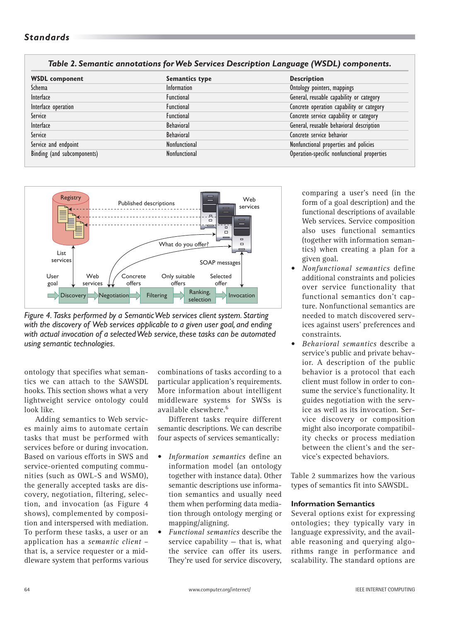| Semantics type       | <b>Description</b>                          |
|----------------------|---------------------------------------------|
| <b>Information</b>   | Ontology pointers, mappings                 |
| <b>Functional</b>    | General, reusable capability or category    |
| <b>Functional</b>    | Concrete operation capability or category   |
| <b>Functional</b>    | Concrete service capability or category     |
| <b>Behavioral</b>    | General, reusable behavioral description    |
| <b>Behavioral</b>    | Concrete service behavior                   |
| <b>Nonfunctional</b> | Nonfunctional properties and policies       |
| <b>Nonfunctional</b> | Operation-specific nonfunctional properties |
|                      |                                             |

*Table 2. Semantic annotations for Web Services Description Language (WSDL) components.*



*Figure 4. Tasks performed by a Semantic Web services client system. Starting with the discovery of Web services applicable to a given user goal, and ending with actual invocation of a selected Web service, these tasks can be automated using semantic technologies.*

ontology that specifies what semantics we can attach to the SAWSDL hooks. This section shows what a very lightweight service ontology could look like.

Adding semantics to Web services mainly aims to automate certain tasks that must be performed with services before or during invocation. Based on various efforts in SWS and service-oriented computing communities (such as OWL-S and WSMO), the generally accepted tasks are discovery, negotiation, filtering, selection, and invocation (as Figure 4 shows), complemented by composition and interspersed with mediation. To perform these tasks, a user or an application has a *semantic client* – that is, a service requester or a middleware system that performs various

combinations of tasks according to a particular application's requirements. More information about intelligent middleware systems for SWSs is available elsewhere.<sup>6</sup>

Different tasks require different semantic descriptions. We can describe four aspects of services semantically:

- *Information semantics* define an information model (an ontology together with instance data). Other semantic descriptions use information semantics and usually need them when performing data mediation through ontology merging or mapping/aligning.
- *Functional semantics* describe the service capability — that is, what the service can offer its users. They're used for service discovery,

comparing a user's need (in the form of a goal description) and the functional descriptions of available Web services. Service composition also uses functional semantics (together with information semantics) when creating a plan for a given goal.

- *Nonfunctional semantics* define additional constraints and policies over service functionality that functional semantics don't capture. Nonfunctional semantics are needed to match discovered services against users' preferences and constraints.
- *Behavioral semantics* describe a service's public and private behavior. A description of the public behavior is a protocol that each client must follow in order to consume the service's functionality. It guides negotiation with the service as well as its invocation. Service discovery or composition might also incorporate compatibility checks or process mediation between the client's and the service's expected behaviors.

Table 2 summarizes how the various types of semantics fit into SAWSDL.

#### **Information Semantics**

Several options exist for expressing ontologies; they typically vary in language expressivity, and the available reasoning and querying algorithms range in performance and scalability. The standard options are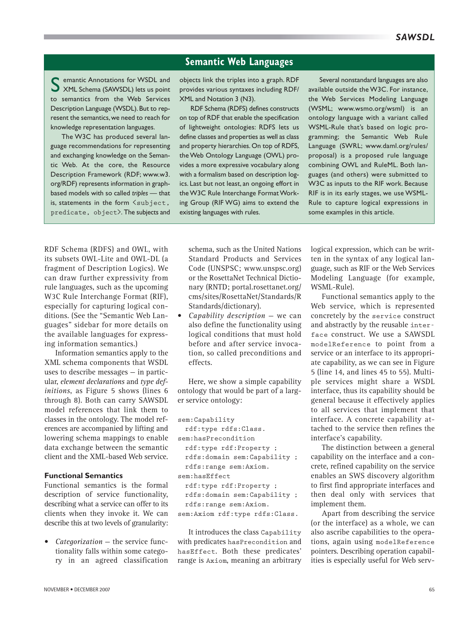## **Semantic Web Languages**

S emantic Annotations for WSDL and XML Schema (SAWSDL) lets us point to semantics from the Web Services Description Language (WSDL). But to represent the semantics,we need to reach for knowledge representation languages.

The W3C has produced several language recommendations for representing and exchanging knowledge on the Semantic Web. At the core, the Resource Description Framework (RDF; www.w3. org/RDF) represents information in graphbased models with so called *triples* — that is, statements in the form **<subject, predicate, object>**. The subjects and

objects link the triples into a graph. RDF provides various syntaxes including RDF/ XML and Notation 3 (N3).

RDF Schema (RDFS) defines constructs on top of RDF that enable the specification of lightweight ontologies: RDFS lets us define classes and properties as well as class and property hierarchies. On top of RDFS, the Web Ontology Language (OWL) provides a more expressive vocabulary along with a formalism based on description logics. Last but not least, an ongoing effort in the W3C Rule Interchange Format Working Group (RIF WG) aims to extend the existing languages with rules.

Several nonstandard languages are also available outside the W3C. For instance, the Web Services Modeling Language (WSML; www.wsmo.org/wsml) is an ontology language with a variant called WSML-Rule that's based on logic programming; the Semantic Web Rule Language (SWRL; www.daml.org/rules/ proposal) is a proposed rule language combining OWL and RuleML. Both languages (and others) were submitted to W3C as inputs to the RIF work. Because RIF is in its early stages, we use WSML-Rule to capture logical expressions in some examples in this article.

RDF Schema (RDFS) and OWL, with its subsets OWL-Lite and OWL-DL (a fragment of Description Logics). We can draw further expressivity from rule languages, such as the upcoming W3C Rule Interchange Format (RIF), especially for capturing logical conditions. (See the "Semantic Web Languages" sidebar for more details on the available languages for expressing information semantics.)

Information semantics apply to the XML schema components that WSDL uses to describe messages — in particular, *element declarations* and *type definitions*, as Figure 5 shows (lines 6 through 8). Both can carry SAWSDL model references that link them to classes in the ontology. The model references are accompanied by lifting and lowering schema mappings to enable data exchange between the semantic client and the XML-based Web service.

#### **Functional Semantics**

Functional semantics is the formal description of service functionality, describing what a service can offer to its clients when they invoke it. We can describe this at two levels of granularity:

• *Categorization* — the service functionality falls within some category in an agreed classification schema, such as the United Nations Standard Products and Services Code (UNSPSC; www.unspsc.org) or the RosettaNet Technical Dictionary (RNTD; portal.rosettanet.org/ cms/sites/RosettaNet/Standards/R Standards/dictionary).

• *Capability description* — we can also define the functionality using logical conditions that must hold before and after service invocation, so called preconditions and effects.

Here, we show a simple capability ontology that would be part of a larger service ontology:

```
sem:Capability
```
**rdf:type rdfs:Class. sem:hasPrecondition rdf:type rdf:Property ; rdfs:domain sem:Capability ; rdfs:range sem:Axiom. sem:hasEffect rdf:type rdf:Property ; rdfs:domain sem:Capability ; rdfs:range sem:Axiom. sem:Axiom rdf:type rdfs:Class.**

It introduces the class **Capability** with predicates **hasPrecondition** and **hasEffect**. Both these predicates' range is **Axiom**, meaning an arbitrary logical expression, which can be written in the syntax of any logical language, such as RIF or the Web Services Modeling Language (for example, WSML-Rule).

Functional semantics apply to the Web service, which is represented concretely by the **service** construct and abstractly by the reusable **interface** construct. We use a SAWSDL **modelReference** to point from a service or an interface to its appropriate capability, as we can see in Figure 5 (line 14, and lines 45 to 55). Multiple services might share a WSDL interface, thus its capability should be general because it effectively applies to all services that implement that interface. A concrete capability attached to the service then refines the interface's capability.

The distinction between a general capability on the interface and a concrete, refined capability on the service enables an SWS discovery algorithm to first find appropriate interfaces and then deal only with services that implement them.

Apart from describing the service (or the interface) as a whole, we can also ascribe capabilities to the operations, again using **modelReference** pointers. Describing operation capabilities is especially useful for Web serv-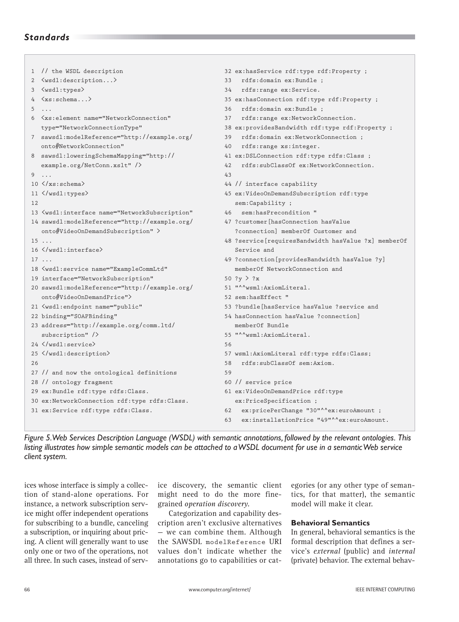```
1 // the WSDL description 
2 <wsdl:description...> 
3 <wsdl:types> 
4 <xs:schema...>
5 ... 
6 <xs:element name="NetworkConnection"
   type="NetworkConnectionType"
7 sawsdl:modelReference="http://example.org/
   onto#NetworkConnection"
8 sawsdl:loweringSchemaMapping="http://
   example.org/NetConn.xslt" />
9 ...
10 </xs:schema>
11 </wsdl:types>
12
13 <wsdl:interface name="NetworkSubscription" 
14 sawsdl:modelReference="http://example.org/
   onto#VideoOnDemandSubscription" >
15 ...
16 </wsdl:interface>
17 ...
18 <wsdl:service name="ExampleCommLtd" 
19 interface="NetworkSubscription" 
20 sawsdl:modelReference="http://example.org/
   onto#VideoOnDemandPrice"> 
21 <wsdl:endpoint name="public" 
22 binding="SOAPBinding" 
23 address="http://example.org/comm.ltd/
   subscription" /> 
24 </wsdl:service> 
25 </wsdl:description>
26 
27 // and now the ontological definitions 
28 // ontology fragment 
29 ex:Bundle rdf:type rdfs:Class. 
30 ex:NetworkConnection rdf:type rdfs:Class. 
31 ex:Service rdf:type rdfs:Class. 
                                                       32 ex:hasService rdf:type rdf:Property ;
                                                       33 rdfs:domain ex:Bundle ; 
                                                       34 rdfs:range ex:Service. 
                                                       35 ex:hasConnection rdf:type rdf:Property ; 
                                                       36 rdfs:domain ex:Bundle ; 
                                                       37 rdfs:range ex:NetworkConnection. 
                                                       38 ex:providesBandwidth rdf:type rdf:Property ; 
                                                       39 rdfs:domain ex:NetworkConnection ; 
                                                       40 rdfs:range xs:integer. 
                                                       41 ex:DSLConnection rdf:type rdfs:Class ; 
                                                       42 rdfs:subClassOf ex:NetworkConnection.
                                                       43
                                                       44 // interface capability 
                                                       45 ex:VideoOnDemandSubscription rdf:type 
                                                          sem:Capability ; 
                                                       46 sem:hasPrecondition " 
                                                       47 ?customer[hasConnection hasValue 
                                                          ?connection] memberOf Customer and 
                                                       48 ?service[requiresBandwidth hasValue ?x] memberOf
                                                          Service and 
                                                       49 ?connection[providesBandwidth hasValue ?y] 
                                                          memberOf NetworkConnection and 
                                                       50 ?y > ?x 
                                                       51 "^^wsml:AxiomLiteral. 
                                                       52 sem:hasEffect " 
                                                       53 ?bundle[hasService hasValue ?service and 
                                                       54 hasConnection hasValue ?connection] 
                                                          memberOf Bundle 
                                                       55 "^^wsml:AxiomLiteral.
                                                       56 
                                                       57 wsml:AxiomLiteral rdf:type rdfs:Class; 
                                                       58 rdfs:subClassOf sem:Axiom.
                                                       59
                                                       60 // service price 
                                                       61 ex:VideoOnDemandPrice rdf:type 
                                                         ex:PriceSpecification ; 
                                                       62 ex:pricePerChange "30"^^ex:euroAmount ; 
                                                       63 ex:installationPrice "49"^^ex:euroAmount.
```
*Figure 5.Web Services Description Language (WSDL) with semantic annotations, followed by the relevant ontologies. This listing illustrates how simple semantic models can be attached to a WSDL document for use in a semantic Web service client system.*

ices whose interface is simply a collection of stand-alone operations. For instance, a network subscription service might offer independent operations for subscribing to a bundle, canceling a subscription, or inquiring about pricing. A client will generally want to use only one or two of the operations, not all three. In such cases, instead of service discovery, the semantic client might need to do the more finegrained *operation discovery*.

Categorization and capability description aren't exclusive alternatives — we can combine them. Although the SAWSDL **modelReference** URI values don't indicate whether the annotations go to capabilities or cat-

egories (or any other type of semantics, for that matter), the semantic model will make it clear.

#### **Behavioral Semantics**

In general, behavioral semantics is the formal description that defines a service's *external* (public) and *internal* (private) behavior. The external behav